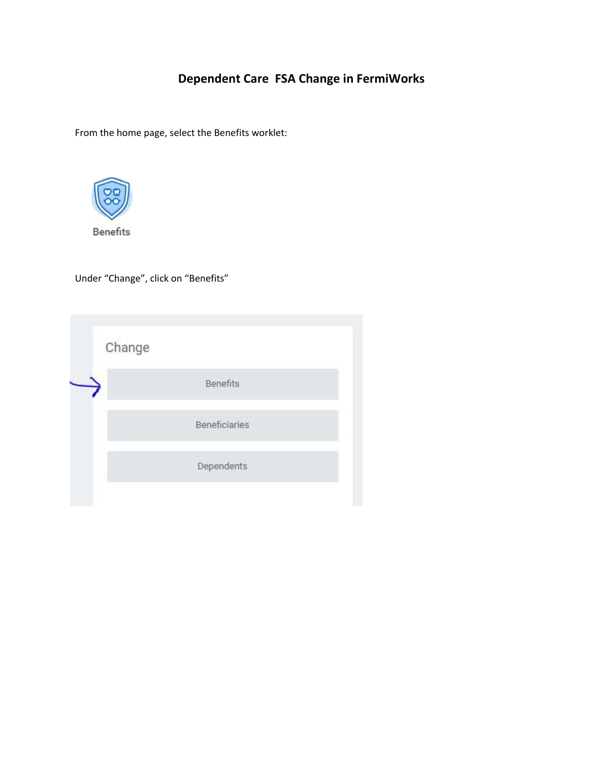# **Dependent Care FSA Change in FermiWorks**

From the home page, select the Benefits worklet:



Under "Change", click on "Benefits"

| Benefits             |  |
|----------------------|--|
| <b>Beneficiaries</b> |  |
| Dependents           |  |
|                      |  |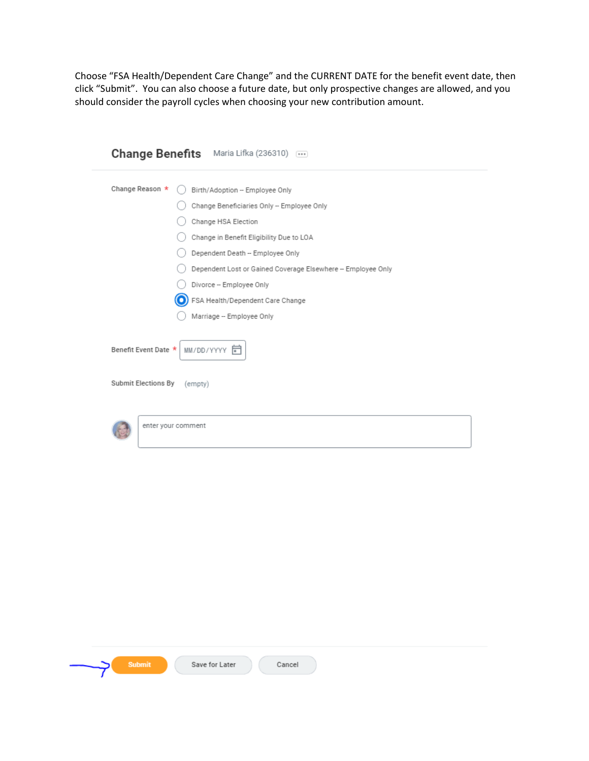Choose "FSA Health/Dependent Care Change" and the CURRENT DATE for the benefit event date, then click "Submit". You can also choose a future date, but only prospective changes are allowed, and you should consider the payroll cycles when choosing your new contribution amount.

|                      | Change Benefits Maria Lifka (236310) -                                                                                                                                                                                                                                                                                                            |
|----------------------|---------------------------------------------------------------------------------------------------------------------------------------------------------------------------------------------------------------------------------------------------------------------------------------------------------------------------------------------------|
| Change Reason *      | Birth/Adoption -- Employee Only<br>Change Beneficiaries Only -- Employee Only<br>Change HSA Election<br>Change in Benefit Eligibility Due to LOA<br>Dependent Death -- Employee Only<br>Dependent Lost or Gained Coverage Elsewhere -- Employee Only<br>Divorce -- Employee Only<br>FSA Health/Dependent Care Change<br>Marriage -- Employee Only |
| Benefit Event Date * | MM/DD/YYYY 同                                                                                                                                                                                                                                                                                                                                      |
| Submit Elections By  | (empty)                                                                                                                                                                                                                                                                                                                                           |
| enter your comment   |                                                                                                                                                                                                                                                                                                                                                   |



Cancel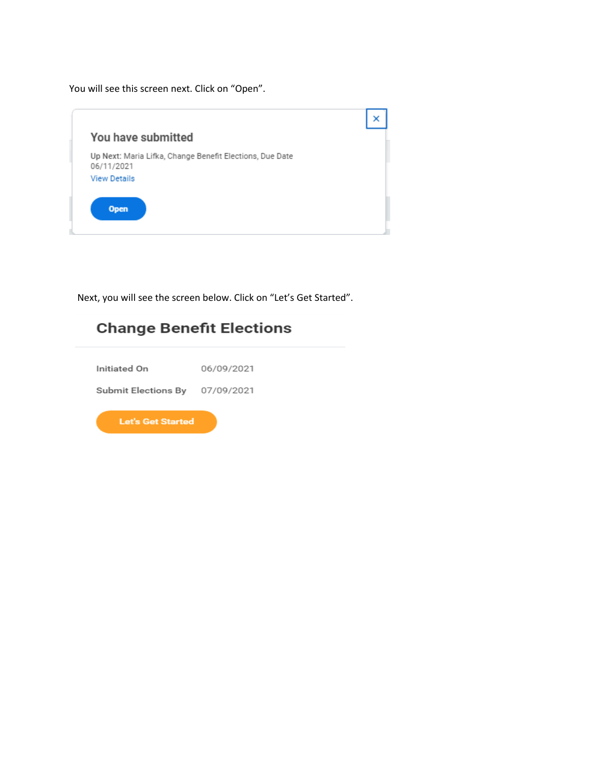You will see this screen next. Click on "Open".



Next, you will see the screen below. Click on "Let's Get Started".

# **Change Benefit Elections**

| Initiated On               | 06/09/2021 |
|----------------------------|------------|
| <b>Submit Elections By</b> | 07/09/2021 |
| <b>Let's Get Started</b>   |            |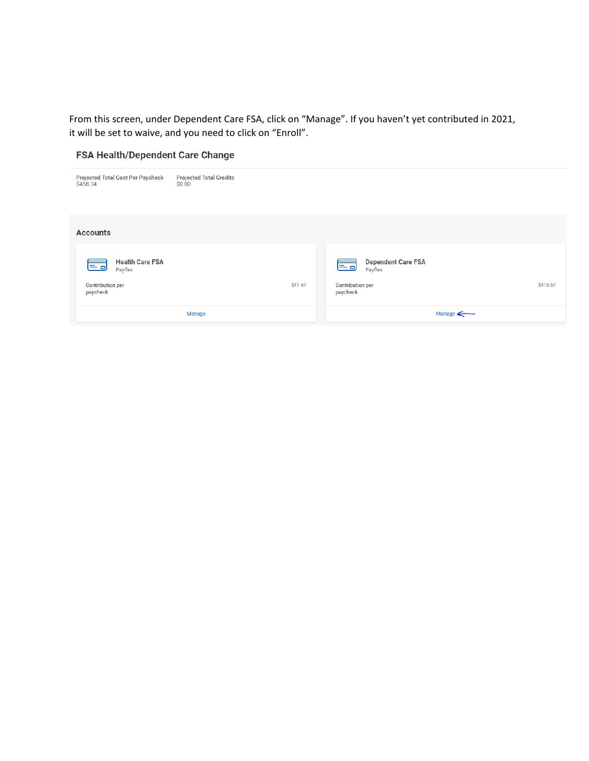From this screen, under Dependent Care FSA, click on "Manage". If you haven't yet contributed in 2021, it will be set to waive, and you need to click on "Enroll".

### FSA Health/Dependent Care Change

| Projected Total Cost Per Paycheck<br>\$458.34 | Projected Total Credits<br>\$0.00 |                                            |          |
|-----------------------------------------------|-----------------------------------|--------------------------------------------|----------|
| Accounts                                      |                                   |                                            |          |
| <b>Health Care FSA</b><br>는 히<br>Payflex      |                                   | <b>Dependent Care FSA</b><br>言っ<br>Payflex |          |
| Contribution per<br>paycheck                  | \$41.67                           | Contribution per<br>paycheck               | \$416.67 |
|                                               | Manage                            | Manage <                                   |          |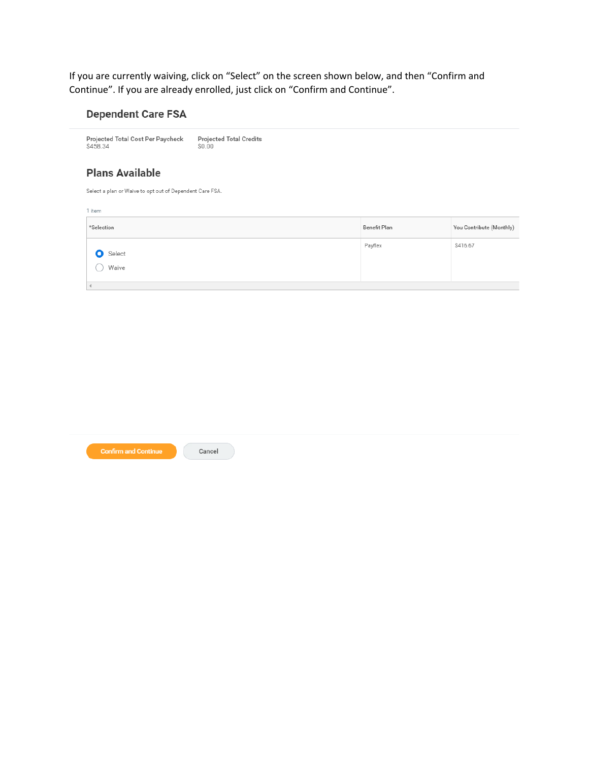If you are currently waiving, click on "Select" on the screen shown below, and then "Confirm and Continue". If you are already enrolled, just click on "Confirm and Continue".

### **Dependent Care FSA**

Projected Total Cost Per Paycheck<br>\$458.34 Projected Total Credits<br>\$0.00

#### **Plans Available**

Select a plan or Waive to opt out of Dependent Care FSA.

| 1 item               |              |                          |
|----------------------|--------------|--------------------------|
| *Selection           | Benefit Plan | You Contribute (Monthly) |
| Select<br>О<br>Waive | Payflex      | \$416.67                 |
|                      |              |                          |

| <b>Confirm and Continue</b> | Cancel |
|-----------------------------|--------|
|-----------------------------|--------|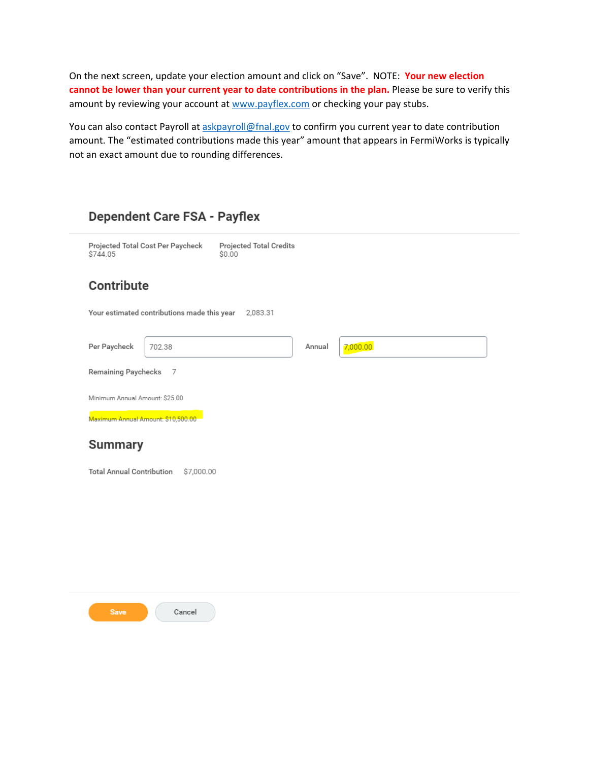On the next screen, update your election amount and click on "Save". NOTE: **Your new election cannot be lower than your current year to date contributions in the plan.** Please be sure to verify this amount by reviewing your account at [www.payflex.com](http://www.payflex.com/) or checking your pay stubs.

You can also contact Payroll a[t askpayroll@fnal.gov](mailto:askpayroll@fnal.gov) to confirm you current year to date contribution amount. The "estimated contributions made this year" amount that appears in FermiWorks is typically not an exact amount due to rounding differences.

## **Dependent Care FSA - Payflex**

| Projected Total Cost Per Paycheck<br>\$744.05  | <b>Projected Total Credits</b><br>\$0.00 |        |          |  |
|------------------------------------------------|------------------------------------------|--------|----------|--|
| Contribute                                     |                                          |        |          |  |
| Your estimated contributions made this year    | 2,083.31                                 |        |          |  |
| Per Paycheck<br>702.38                         |                                          | Annual | 7,000.00 |  |
| Remaining Paychecks<br>- 7                     |                                          |        |          |  |
| Minimum Annual Amount: \$25.00                 |                                          |        |          |  |
| Maximum Annual Amount: \$10,500.00             |                                          |        |          |  |
| <b>Summary</b>                                 |                                          |        |          |  |
| <b>Total Annual Contribution</b><br>\$7,000.00 |                                          |        |          |  |
|                                                |                                          |        |          |  |
|                                                |                                          |        |          |  |
|                                                |                                          |        |          |  |
|                                                |                                          |        |          |  |

Save

Cancel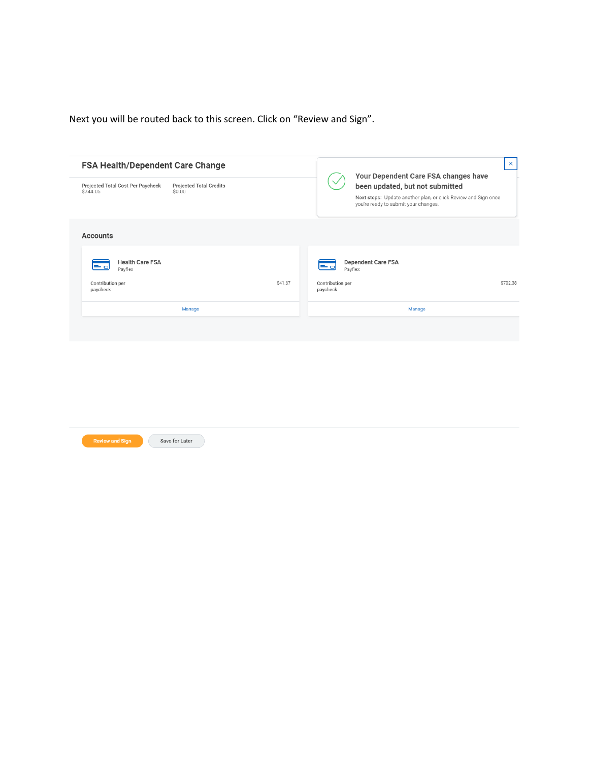Next you will be routed back to this screen. Click on "Review and Sign".

| <b>FSA Health/Dependent Care Change</b>       |                                          |        |                              | ×                                                                                                                                                                                 |         |
|-----------------------------------------------|------------------------------------------|--------|------------------------------|-----------------------------------------------------------------------------------------------------------------------------------------------------------------------------------|---------|
| Projected Total Cost Per Paycheck<br>\$744.05 | <b>Projected Total Credits</b><br>\$0.00 |        |                              | Your Dependent Care FSA changes have<br>been updated, but not submitted<br>Next steps: Update another plan, or click Review and Sign once<br>you're ready to submit your changes. |         |
| Accounts                                      |                                          |        |                              |                                                                                                                                                                                   |         |
| <b>Health Care FSA</b><br>ن د<br>Payflex      |                                          |        | 트리                           | <b>Dependent Care FSA</b><br>Payflex                                                                                                                                              |         |
| Contribution per<br>paycheck                  |                                          | S41.67 | Contribution per<br>paycheck |                                                                                                                                                                                   | S702.38 |
|                                               | Manage                                   |        |                              | Manage                                                                                                                                                                            |         |
|                                               |                                          |        |                              |                                                                                                                                                                                   |         |

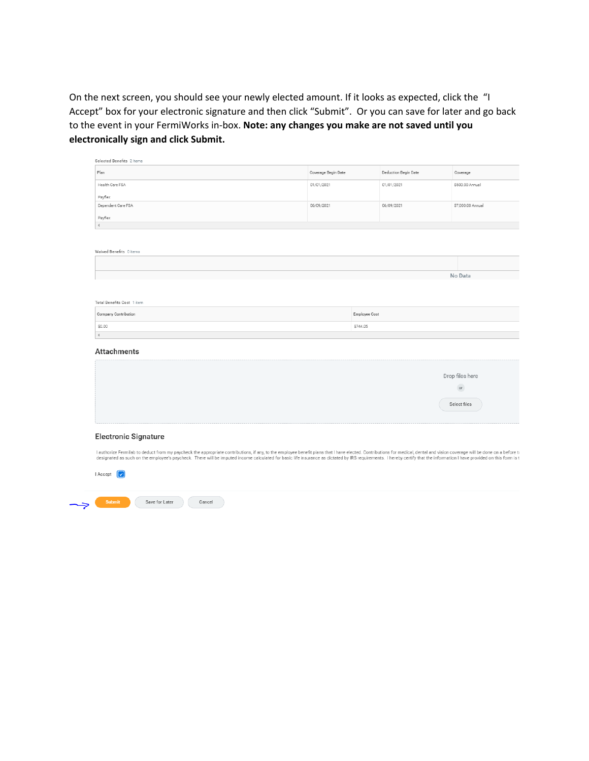On the next screen, you should see your newly elected amount. If it looks as expected, click the "I Accept" box for your electronic signature and then click "Submit". Or you can save for later and go back to the event in your FermiWorks in-box. Note: any changes you make are not saved until you electronically sign and click Submit.

| Selected Benefits 2 items  |                     |               |                      |                   |
|----------------------------|---------------------|---------------|----------------------|-------------------|
| Plan                       | Coverage Begin Date |               | Deduction Begin Date | Coverage          |
| Health Care FSA            | 01/01/2021          |               | 01/01/2021           | \$500.00 Annual   |
| Payflex                    |                     |               |                      |                   |
| Dependent Care FSA         | 06/09/2021          |               | 06/09/2021           | \$7,000.00 Annual |
| Payflex                    |                     |               |                      |                   |
|                            |                     |               |                      |                   |
| Waived Benefits 0 items    |                     |               |                      | No Data           |
| Total Benefits Cost 1 item |                     |               |                      |                   |
| Company Contribution       |                     | Employee Cost |                      |                   |
| \$0.00                     |                     | \$744.05      |                      |                   |
| $\left($                   |                     |               |                      |                   |
|                            |                     |               |                      |                   |

#### **Attachments**

|          | Drop files here |  |
|----------|-----------------|--|
|          |                 |  |
|          |                 |  |
|          |                 |  |
|          |                 |  |
|          | or              |  |
|          |                 |  |
|          |                 |  |
|          |                 |  |
|          |                 |  |
|          |                 |  |
|          | Select files    |  |
|          |                 |  |
|          |                 |  |
|          |                 |  |
|          |                 |  |
|          |                 |  |
|          |                 |  |
|          |                 |  |
| -------- |                 |  |

#### **Electronic Signature**

I authorize Fermilab to deduct from my paycheck the appropriate contributions, if any, to the employee benefit plans that I have elected. Contributions for medical, dental and vision coverage will be done on a before to th